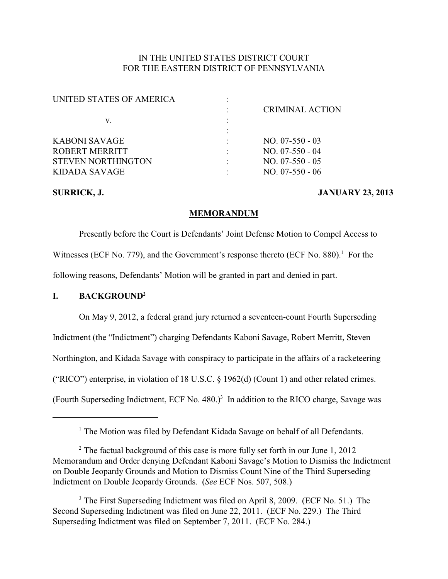# IN THE UNITED STATES DISTRICT COURT FOR THE EASTERN DISTRICT OF PENNSYLVANIA

| UNITED STATES OF AMERICA  |                        |
|---------------------------|------------------------|
|                           | <b>CRIMINAL ACTION</b> |
| v.                        |                        |
|                           |                        |
| KABONI SAVAGE             | $NO. 07-550-03$        |
| ROBERT MERRITT            | NO. 07-550 - 04        |
| <b>STEVEN NORTHINGTON</b> | $NO. 07-550 - 05$      |
| KIDADA SAVAGE             | $NO. 07-550 - 06$      |
|                           |                        |

## **SURRICK, J. JANUARY 23, 2013**

#### **MEMORANDUM**

Presently before the Court is Defendants' Joint Defense Motion to Compel Access to Witnesses (ECF No. 779), and the Government's response thereto (ECF No.  $880$ ).<sup>1</sup> For the following reasons, Defendants' Motion will be granted in part and denied in part.

### **I. BACKGROUND<sup>2</sup>**

On May 9, 2012, a federal grand jury returned a seventeen-count Fourth Superseding Indictment (the "Indictment") charging Defendants Kaboni Savage, Robert Merritt, Steven Northington, and Kidada Savage with conspiracy to participate in the affairs of a racketeering ("RICO") enterprise, in violation of 18 U.S.C. § 1962(d) (Count 1) and other related crimes. (Fourth Superseding Indictment, ECF No. 480.) $3$  In addition to the RICO charge, Savage was

 $<sup>1</sup>$  The Motion was filed by Defendant Kidada Savage on behalf of all Defendants.</sup>

 $2$  The factual background of this case is more fully set forth in our June 1, 2012 Memorandum and Order denying Defendant Kaboni Savage's Motion to Dismiss the Indictment on Double Jeopardy Grounds and Motion to Dismiss Count Nine of the Third Superseding Indictment on Double Jeopardy Grounds. (*See* ECF Nos. 507, 508.)

 $3$  The First Superseding Indictment was filed on April 8, 2009. (ECF No. 51.) The Second Superseding Indictment was filed on June 22, 2011. (ECF No. 229.) The Third Superseding Indictment was filed on September 7, 2011. (ECF No. 284.)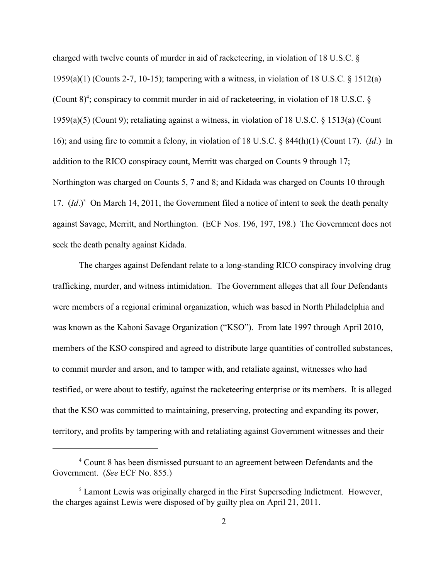charged with twelve counts of murder in aid of racketeering, in violation of 18 U.S.C. § 1959(a)(1) (Counts 2-7, 10-15); tampering with a witness, in violation of 18 U.S.C. § 1512(a) (Count  $8$ )<sup>4</sup>; conspiracy to commit murder in aid of racketeering, in violation of 18 U.S.C. § 1959(a)(5) (Count 9); retaliating against a witness, in violation of 18 U.S.C. § 1513(a) (Count 16); and using fire to commit a felony, in violation of 18 U.S.C. § 844(h)(1) (Count 17). (*Id*.) In addition to the RICO conspiracy count, Merritt was charged on Counts 9 through 17; Northington was charged on Counts 5, 7 and 8; and Kidada was charged on Counts 10 through 17.  $(Id.)^5$  On March 14, 2011, the Government filed a notice of intent to seek the death penalty against Savage, Merritt, and Northington. (ECF Nos. 196, 197, 198.) The Government does not seek the death penalty against Kidada.

The charges against Defendant relate to a long-standing RICO conspiracy involving drug trafficking, murder, and witness intimidation. The Government alleges that all four Defendants were members of a regional criminal organization, which was based in North Philadelphia and was known as the Kaboni Savage Organization ("KSO"). From late 1997 through April 2010, members of the KSO conspired and agreed to distribute large quantities of controlled substances, to commit murder and arson, and to tamper with, and retaliate against, witnesses who had testified, or were about to testify, against the racketeering enterprise or its members. It is alleged that the KSO was committed to maintaining, preserving, protecting and expanding its power, territory, and profits by tampering with and retaliating against Government witnesses and their

<sup>&</sup>lt;sup>4</sup> Count 8 has been dismissed pursuant to an agreement between Defendants and the Government. (*See* ECF No. 855.)

 $<sup>5</sup>$  Lamont Lewis was originally charged in the First Superseding Indictment. However,</sup> the charges against Lewis were disposed of by guilty plea on April 21, 2011.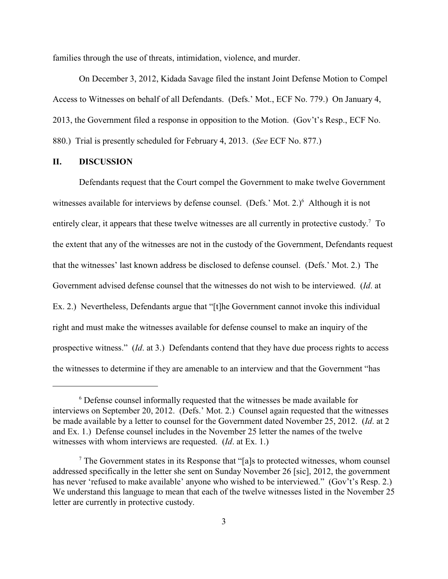families through the use of threats, intimidation, violence, and murder.

On December 3, 2012, Kidada Savage filed the instant Joint Defense Motion to Compel Access to Witnesses on behalf of all Defendants. (Defs.' Mot., ECF No. 779.) On January 4, 2013, the Government filed a response in opposition to the Motion. (Gov't's Resp., ECF No. 880.) Trial is presently scheduled for February 4, 2013. (*See* ECF No. 877.)

## **II. DISCUSSION**

Defendants request that the Court compel the Government to make twelve Government witnesses available for interviews by defense counsel. (Defs.' Mot. 2.) Although it is not entirely clear, it appears that these twelve witnesses are all currently in protective custody.<sup>7</sup> To the extent that any of the witnesses are not in the custody of the Government, Defendants request that the witnesses' last known address be disclosed to defense counsel. (Defs.' Mot. 2.) The Government advised defense counsel that the witnesses do not wish to be interviewed. (*Id*. at Ex. 2.) Nevertheless, Defendants argue that "[t]he Government cannot invoke this individual right and must make the witnesses available for defense counsel to make an inquiry of the prospective witness." (*Id*. at 3.) Defendants contend that they have due process rights to access the witnesses to determine if they are amenable to an interview and that the Government "has

Defense counsel informally requested that the witnesses be made available for <sup>6</sup> interviews on September 20, 2012. (Defs.' Mot. 2.) Counsel again requested that the witnesses be made available by a letter to counsel for the Government dated November 25, 2012. (*Id*. at 2 and Ex. 1.) Defense counsel includes in the November 25 letter the names of the twelve witnesses with whom interviews are requested. (*Id*. at Ex. 1.)

 $\frac{7}{7}$  The Government states in its Response that "[a]s to protected witnesses, whom counsel addressed specifically in the letter she sent on Sunday November 26 [sic], 2012, the government has never 'refused to make available' anyone who wished to be interviewed." (Gov't's Resp. 2.) We understand this language to mean that each of the twelve witnesses listed in the November 25 letter are currently in protective custody.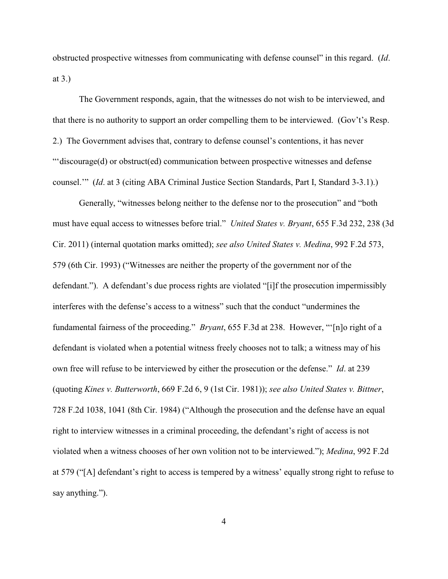obstructed prospective witnesses from communicating with defense counsel" in this regard. (*Id*. at 3.)

The Government responds, again, that the witnesses do not wish to be interviewed, and that there is no authority to support an order compelling them to be interviewed. (Gov't's Resp. 2.) The Government advises that, contrary to defense counsel's contentions, it has never "'discourage(d) or obstruct(ed) communication between prospective witnesses and defense counsel.'" (*Id*. at 3 (citing ABA Criminal Justice Section Standards, Part I, Standard 3-3.1).)

Generally, "witnesses belong neither to the defense nor to the prosecution" and "both must have equal access to witnesses before trial." *United States v. Bryant*, 655 F.3d 232, 238 (3d Cir. 2011) (internal quotation marks omitted); *see also United States v. Medina*, 992 F.2d 573, 579 (6th Cir. 1993) ("Witnesses are neither the property of the government nor of the defendant."). A defendant's due process rights are violated "[i]f the prosecution impermissibly interferes with the defense's access to a witness" such that the conduct "undermines the fundamental fairness of the proceeding." *Bryant*, 655 F.3d at 238. However, "'[n]o right of a defendant is violated when a potential witness freely chooses not to talk; a witness may of his own free will refuse to be interviewed by either the prosecution or the defense." *Id*. at 239 (quoting *Kines v. Butterworth*, 669 F.2d 6, 9 (1st Cir. 1981)); *see also United States v. Bittner*, 728 F.2d 1038, 1041 (8th Cir. 1984) ("Although the prosecution and the defense have an equal right to interview witnesses in a criminal proceeding, the defendant's right of access is not violated when a witness chooses of her own volition not to be interviewed."); *Medina*, 992 F.2d at 579 ("[A] defendant's right to access is tempered by a witness' equally strong right to refuse to say anything.").

4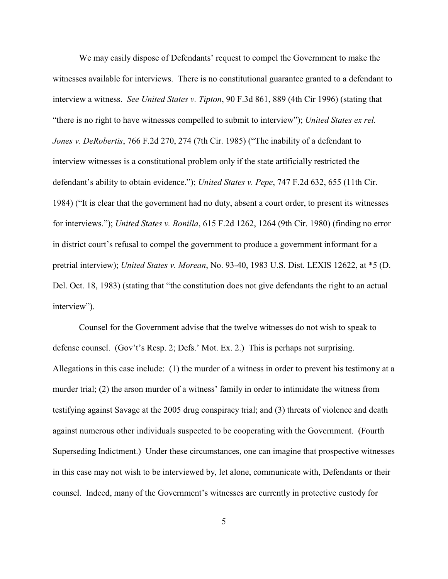We may easily dispose of Defendants' request to compel the Government to make the witnesses available for interviews. There is no constitutional guarantee granted to a defendant to interview a witness. *See United States v. Tipton*, 90 F.3d 861, 889 (4th Cir 1996) (stating that "there is no right to have witnesses compelled to submit to interview"); *United States ex rel. Jones v. DeRobertis*, 766 F.2d 270, 274 (7th Cir. 1985) ("The inability of a defendant to interview witnesses is a constitutional problem only if the state artificially restricted the defendant's ability to obtain evidence."); *United States v. Pepe*, 747 F.2d 632, 655 (11th Cir. 1984) ("It is clear that the government had no duty, absent a court order, to present its witnesses for interviews."); *United States v. Bonilla*, 615 F.2d 1262, 1264 (9th Cir. 1980) (finding no error in district court's refusal to compel the government to produce a government informant for a pretrial interview); *United States v. Morean*, No. 93-40, 1983 U.S. Dist. LEXIS 12622, at \*5 (D. Del. Oct. 18, 1983) (stating that "the constitution does not give defendants the right to an actual interview").

Counsel for the Government advise that the twelve witnesses do not wish to speak to defense counsel. (Gov't's Resp. 2; Defs.' Mot. Ex. 2.) This is perhaps not surprising. Allegations in this case include: (1) the murder of a witness in order to prevent his testimony at a murder trial; (2) the arson murder of a witness' family in order to intimidate the witness from testifying against Savage at the 2005 drug conspiracy trial; and (3) threats of violence and death against numerous other individuals suspected to be cooperating with the Government. (Fourth Superseding Indictment.) Under these circumstances, one can imagine that prospective witnesses in this case may not wish to be interviewed by, let alone, communicate with, Defendants or their counsel. Indeed, many of the Government's witnesses are currently in protective custody for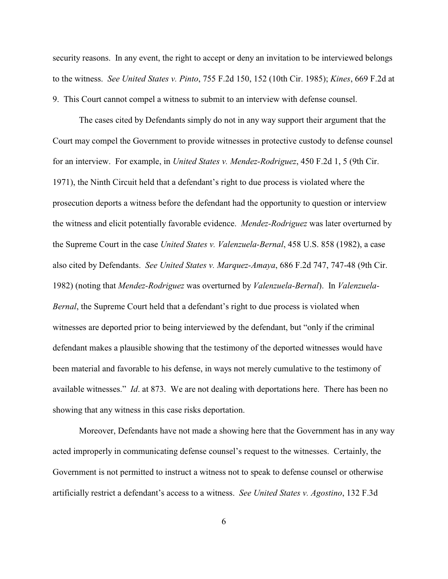security reasons. In any event, the right to accept or deny an invitation to be interviewed belongs to the witness. *See United States v. Pinto*, 755 F.2d 150, 152 (10th Cir. 1985); *Kines*, 669 F.2d at 9. This Court cannot compel a witness to submit to an interview with defense counsel.

The cases cited by Defendants simply do not in any way support their argument that the Court may compel the Government to provide witnesses in protective custody to defense counsel for an interview. For example, in *United States v. Mendez-Rodriguez*, 450 F.2d 1, 5 (9th Cir. 1971), the Ninth Circuit held that a defendant's right to due process is violated where the prosecution deports a witness before the defendant had the opportunity to question or interview the witness and elicit potentially favorable evidence. *Mendez-Rodriguez* was later overturned by the Supreme Court in the case *United States v. Valenzuela-Bernal*, 458 U.S. 858 (1982), a case also cited by Defendants. *See United States v. Marquez-Amaya*, 686 F.2d 747, 747-48 (9th Cir. 1982) (noting that *Mendez-Rodriguez* was overturned by *Valenzuela-Bernal*). In *Valenzuela-Bernal*, the Supreme Court held that a defendant's right to due process is violated when witnesses are deported prior to being interviewed by the defendant, but "only if the criminal defendant makes a plausible showing that the testimony of the deported witnesses would have been material and favorable to his defense, in ways not merely cumulative to the testimony of available witnesses." *Id*. at 873. We are not dealing with deportations here. There has been no showing that any witness in this case risks deportation.

Moreover, Defendants have not made a showing here that the Government has in any way acted improperly in communicating defense counsel's request to the witnesses. Certainly, the Government is not permitted to instruct a witness not to speak to defense counsel or otherwise artificially restrict a defendant's access to a witness. *See United States v. Agostino*, 132 F.3d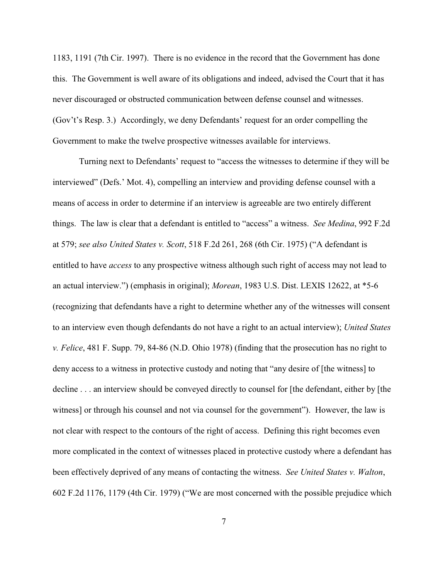1183, 1191 (7th Cir. 1997). There is no evidence in the record that the Government has done this. The Government is well aware of its obligations and indeed, advised the Court that it has never discouraged or obstructed communication between defense counsel and witnesses. (Gov't's Resp. 3.) Accordingly, we deny Defendants' request for an order compelling the Government to make the twelve prospective witnesses available for interviews.

Turning next to Defendants' request to "access the witnesses to determine if they will be interviewed" (Defs.' Mot. 4), compelling an interview and providing defense counsel with a means of access in order to determine if an interview is agreeable are two entirely different things. The law is clear that a defendant is entitled to "access" a witness. *See Medina*, 992 F.2d at 579; *see also United States v. Scott*, 518 F.2d 261, 268 (6th Cir. 1975) ("A defendant is entitled to have *access* to any prospective witness although such right of access may not lead to an actual interview.") (emphasis in original); *Morean*, 1983 U.S. Dist. LEXIS 12622, at \*5-6 (recognizing that defendants have a right to determine whether any of the witnesses will consent to an interview even though defendants do not have a right to an actual interview); *United States v. Felice*, 481 F. Supp. 79, 84-86 (N.D. Ohio 1978) (finding that the prosecution has no right to deny access to a witness in protective custody and noting that "any desire of [the witness] to decline . . . an interview should be conveyed directly to counsel for [the defendant, either by [the witness] or through his counsel and not via counsel for the government"). However, the law is not clear with respect to the contours of the right of access. Defining this right becomes even more complicated in the context of witnesses placed in protective custody where a defendant has been effectively deprived of any means of contacting the witness. *See United States v. Walton*, 602 F.2d 1176, 1179 (4th Cir. 1979) ("We are most concerned with the possible prejudice which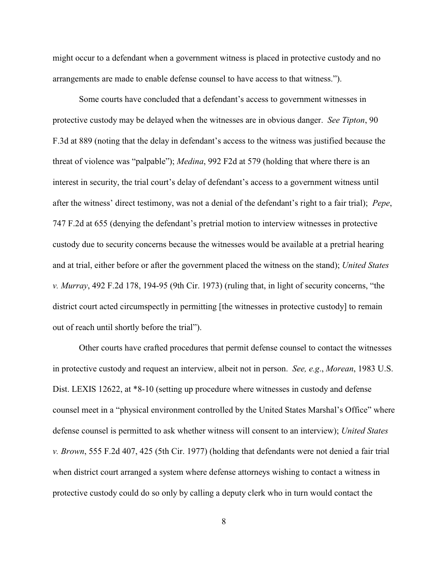might occur to a defendant when a government witness is placed in protective custody and no arrangements are made to enable defense counsel to have access to that witness.").

Some courts have concluded that a defendant's access to government witnesses in protective custody may be delayed when the witnesses are in obvious danger. *See Tipton*, 90 F.3d at 889 (noting that the delay in defendant's access to the witness was justified because the threat of violence was "palpable"); *Medina*, 992 F2d at 579 (holding that where there is an interest in security, the trial court's delay of defendant's access to a government witness until after the witness' direct testimony, was not a denial of the defendant's right to a fair trial); *Pepe*, 747 F.2d at 655 (denying the defendant's pretrial motion to interview witnesses in protective custody due to security concerns because the witnesses would be available at a pretrial hearing and at trial, either before or after the government placed the witness on the stand); *United States v. Murray*, 492 F.2d 178, 194-95 (9th Cir. 1973) (ruling that, in light of security concerns, "the district court acted circumspectly in permitting [the witnesses in protective custody] to remain out of reach until shortly before the trial").

Other courts have crafted procedures that permit defense counsel to contact the witnesses in protective custody and request an interview, albeit not in person. *See, e.g*., *Morean*, 1983 U.S. Dist. LEXIS 12622, at \*8-10 (setting up procedure where witnesses in custody and defense counsel meet in a "physical environment controlled by the United States Marshal's Office" where defense counsel is permitted to ask whether witness will consent to an interview); *United States v. Brown*, 555 F.2d 407, 425 (5th Cir. 1977) (holding that defendants were not denied a fair trial when district court arranged a system where defense attorneys wishing to contact a witness in protective custody could do so only by calling a deputy clerk who in turn would contact the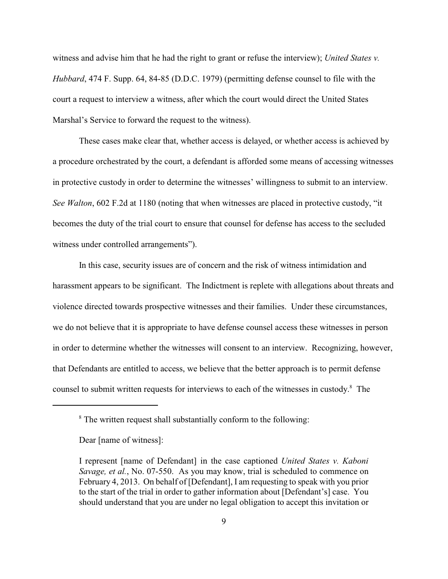witness and advise him that he had the right to grant or refuse the interview); *United States v. Hubbard*, 474 F. Supp. 64, 84-85 (D.D.C. 1979) (permitting defense counsel to file with the court a request to interview a witness, after which the court would direct the United States Marshal's Service to forward the request to the witness).

These cases make clear that, whether access is delayed, or whether access is achieved by a procedure orchestrated by the court, a defendant is afforded some means of accessing witnesses in protective custody in order to determine the witnesses' willingness to submit to an interview. *See Walton*, 602 F.2d at 1180 (noting that when witnesses are placed in protective custody, "it becomes the duty of the trial court to ensure that counsel for defense has access to the secluded witness under controlled arrangements").

In this case, security issues are of concern and the risk of witness intimidation and harassment appears to be significant. The Indictment is replete with allegations about threats and violence directed towards prospective witnesses and their families. Under these circumstances, we do not believe that it is appropriate to have defense counsel access these witnesses in person in order to determine whether the witnesses will consent to an interview. Recognizing, however, that Defendants are entitled to access, we believe that the better approach is to permit defense counsel to submit written requests for interviews to each of the witnesses in custody.<sup>8</sup> The

<sup>&</sup>lt;sup>8</sup> The written request shall substantially conform to the following:

Dear [name of witness]:

I represent [name of Defendant] in the case captioned *United States v. Kaboni Savage, et al.*, No. 07-550. As you may know, trial is scheduled to commence on February 4, 2013. On behalf of [Defendant], I am requesting to speak with you prior to the start of the trial in order to gather information about [Defendant's] case. You should understand that you are under no legal obligation to accept this invitation or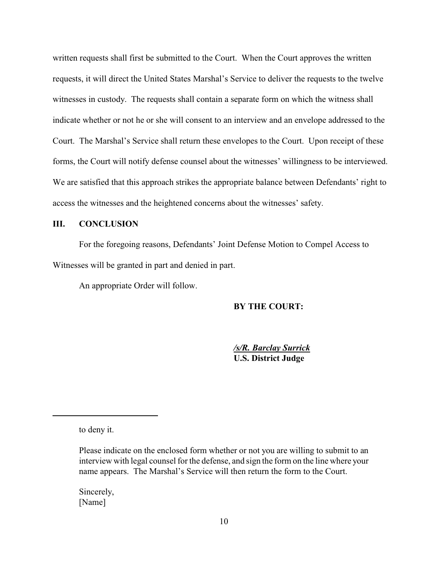written requests shall first be submitted to the Court. When the Court approves the written requests, it will direct the United States Marshal's Service to deliver the requests to the twelve witnesses in custody. The requests shall contain a separate form on which the witness shall indicate whether or not he or she will consent to an interview and an envelope addressed to the Court. The Marshal's Service shall return these envelopes to the Court. Upon receipt of these forms, the Court will notify defense counsel about the witnesses' willingness to be interviewed. We are satisfied that this approach strikes the appropriate balance between Defendants' right to access the witnesses and the heightened concerns about the witnesses' safety.

# **III. CONCLUSION**

For the foregoing reasons, Defendants' Joint Defense Motion to Compel Access to Witnesses will be granted in part and denied in part.

An appropriate Order will follow.

## **BY THE COURT:**

*/s/R. Barclay Surrick* **U.S. District Judge**

to deny it.

Sincerely, [Name]

Please indicate on the enclosed form whether or not you are willing to submit to an interview with legal counsel for the defense, and sign the form on the line where your name appears. The Marshal's Service will then return the form to the Court.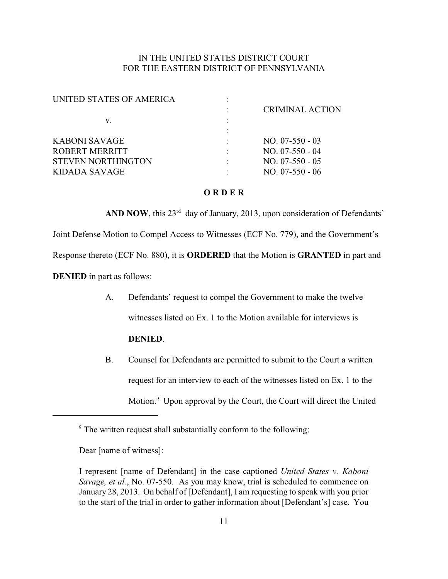# IN THE UNITED STATES DISTRICT COURT FOR THE EASTERN DISTRICT OF PENNSYLVANIA

| UNITED STATES OF AMERICA  |                        |
|---------------------------|------------------------|
|                           | <b>CRIMINAL ACTION</b> |
| V.                        |                        |
|                           |                        |
| KABONI SAVAGE             | $NO. 07-550-03$        |
| ROBERT MERRITT            | $NO. 07-550 - 04$      |
| <b>STEVEN NORTHINGTON</b> | $NO. 07-550-05$        |
| KIDADA SAVAGE             | $NO. 07-550 - 06$      |
|                           |                        |

## **O R D E R**

**AND NOW**, this  $23^{rd}$  day of January, 2013, upon consideration of Defendants' Joint Defense Motion to Compel Access to Witnesses (ECF No. 779), and the Government's Response thereto (ECF No. 880), it is **ORDERED** that the Motion is **GRANTED** in part and **DENIED** in part as follows:

- A. Defendants' request to compel the Government to make the twelve witnesses listed on Ex. 1 to the Motion available for interviews is **DENIED**.
- B. Counsel for Defendants are permitted to submit to the Court a written request for an interview to each of the witnesses listed on Ex. 1 to the Motion.<sup>9</sup> Upon approval by the Court, the Court will direct the United

Dear [name of witness]:

<sup>&</sup>lt;sup>9</sup> The written request shall substantially conform to the following:

I represent [name of Defendant] in the case captioned *United States v. Kaboni Savage, et al.*, No. 07-550. As you may know, trial is scheduled to commence on January 28, 2013. On behalf of [Defendant], I am requesting to speak with you prior to the start of the trial in order to gather information about [Defendant's] case. You